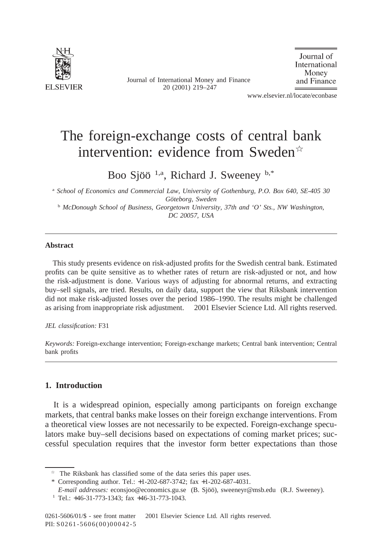

Journal of International Money and Finance 20 (2001) 219–247

Journal of International Money and Finance

www.elsevier.nl/locate/econbase

## The foreign-exchange costs of central bank intervention: evidence from Sweden $\dot{\alpha}$

Boo Sjöö<sup> 1,a</sup>, Richard J. Sweeney  $b^*$ 

<sup>a</sup> *School of Economics and Commercial Law, University of Gothenburg, P.O. Box 640, SE-405 30 Go¨teborg, Sweden* <sup>b</sup> *McDonough School of Business, Georgetown University, 37th and 'O' Sts., NW Washington,*

*DC 20057, USA*

### **Abstract**

This study presents evidence on risk-adjusted profits for the Swedish central bank. Estimated profits can be quite sensitive as to whether rates of return are risk-adjusted or not, and how the risk-adjustment is done. Various ways of adjusting for abnormal returns, and extracting buy–sell signals, are tried. Results, on daily data, support the view that Riksbank intervention did not make risk-adjusted losses over the period 1986–1990. The results might be challenged as arising from inappropriate risk adjustment.  $© 2001$  Elsevier Science Ltd. All rights reserved.

#### *JEL classification:* F31

*Keywords:* Foreign-exchange intervention; Foreign-exchange markets; Central bank intervention; Central bank profits

## **1. Introduction**

It is a widespread opinion, especially among participants on foreign exchange markets, that central banks make losses on their foreign exchange interventions. From a theoretical view losses are not necessarily to be expected. Foreign-exchange speculators make buy–sell decisions based on expectations of coming market prices; successful speculation requires that the investor form better expectations than those

 $\overrightarrow{r}$  The Riksbank has classified some of the data series this paper uses.

<sup>\*</sup> Corresponding author. Tel.: +1-202-687-3742; fax +1-202-687-4031.

*E-mail addresses:* econsjoo@economics.gu.se (B. Sjöö), sweeneyr@msb.edu (R.J. Sweeney).

 $1$  Tel.:  $+46-31-773-1343$ ; fax  $+46-31-773-1043$ .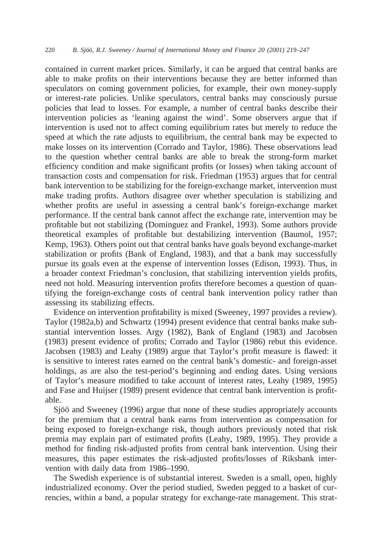contained in current market prices. Similarly, it can be argued that central banks are able to make profits on their interventions because they are better informed than speculators on coming government policies, for example, their own money-supply or interest-rate policies. Unlike speculators, central banks may consciously pursue policies that lead to losses. For example, a number of central banks describe their intervention policies as 'leaning against the wind'. Some observers argue that if intervention is used not to affect coming equilibrium rates but merely to reduce the speed at which the rate adjusts to equilibrium, the central bank may be expected to make losses on its intervention (Corrado and Taylor, 1986). These observations lead to the question whether central banks are able to break the strong-form market efficiency condition and make significant profits (or losses) when taking account of transaction costs and compensation for risk. Friedman (1953) argues that for central bank intervention to be stabilizing for the foreign-exchange market, intervention must make trading profits. Authors disagree over whether speculation is stabilizing and whether profits are useful in assessing a central bank's foreign-exchange market performance. If the central bank cannot affect the exchange rate, intervention may be profitable but not stabilizing (Dominguez and Frankel, 1993). Some authors provide theoretical examples of profitable but destabilizing intervention (Baumol, 1957; Kemp, 1963). Others point out that central banks have goals beyond exchange-market stabilization or profits (Bank of England, 1983), and that a bank may successfully pursue its goals even at the expense of intervention losses (Edison, 1993). Thus, in a broader context Friedman's conclusion, that stabilizing intervention yields profits, need not hold. Measuring intervention profits therefore becomes a question of quantifying the foreign-exchange costs of central bank intervention policy rather than assessing its stabilizing effects.

Evidence on intervention profitability is mixed (Sweeney, 1997 provides a review). Taylor (1982a,b) and Schwartz (1994) present evidence that central banks make substantial intervention losses. Argy (1982), Bank of England (1983) and Jacobsen (1983) present evidence of profits; Corrado and Taylor (1986) rebut this evidence. Jacobsen (1983) and Leahy (1989) argue that Taylor's profit measure is flawed: it is sensitive to interest rates earned on the central bank's domestic- and foreign-asset holdings, as are also the test-period's beginning and ending dates. Using versions of Taylor's measure modified to take account of interest rates, Leahy (1989, 1995) and Fase and Huijser (1989) present evidence that central bank intervention is profitable.

Sjoö and Sweeney (1996) argue that none of these studies appropriately accounts for the premium that a central bank earns from intervention as compensation for being exposed to foreign-exchange risk, though authors previously noted that risk premia may explain part of estimated profits (Leahy, 1989, 1995). They provide a method for finding risk-adjusted profits from central bank intervention. Using their measures, this paper estimates the risk-adjusted profits/losses of Riksbank intervention with daily data from 1986–1990.

The Swedish experience is of substantial interest. Sweden is a small, open, highly industrialized economy. Over the period studied, Sweden pegged to a basket of currencies, within a band, a popular strategy for exchange-rate management. This strat-